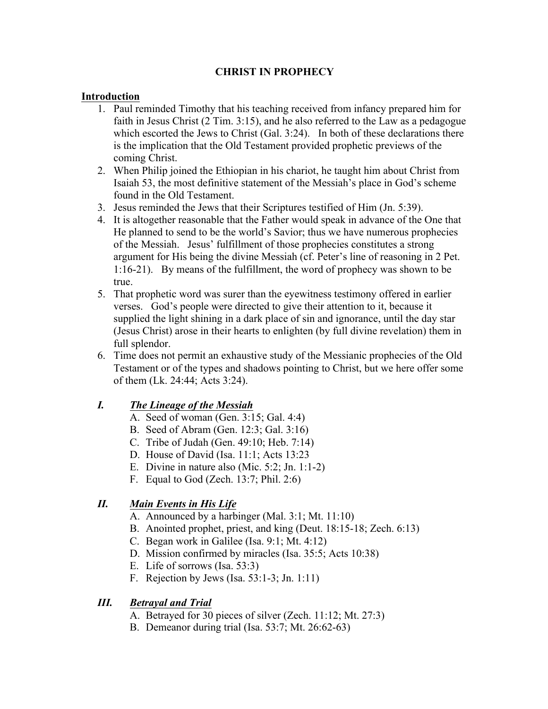# **CHRIST IN PROPHECY**

#### **Introduction**

- 1. Paul reminded Timothy that his teaching received from infancy prepared him for faith in Jesus Christ (2 Tim. 3:15), and he also referred to the Law as a pedagogue which escorted the Jews to Christ (Gal. 3:24). In both of these declarations there is the implication that the Old Testament provided prophetic previews of the coming Christ.
- 2. When Philip joined the Ethiopian in his chariot, he taught him about Christ from Isaiah 53, the most definitive statement of the Messiah's place in God's scheme found in the Old Testament.
- 3. Jesus reminded the Jews that their Scriptures testified of Him (Jn. 5:39).
- 4. It is altogether reasonable that the Father would speak in advance of the One that He planned to send to be the world's Savior; thus we have numerous prophecies of the Messiah. Jesus' fulfillment of those prophecies constitutes a strong argument for His being the divine Messiah (cf. Peter's line of reasoning in 2 Pet. 1:16-21). By means of the fulfillment, the word of prophecy was shown to be true.
- 5. That prophetic word was surer than the eyewitness testimony offered in earlier verses. God's people were directed to give their attention to it, because it supplied the light shining in a dark place of sin and ignorance, until the day star (Jesus Christ) arose in their hearts to enlighten (by full divine revelation) them in full splendor.
- 6. Time does not permit an exhaustive study of the Messianic prophecies of the Old Testament or of the types and shadows pointing to Christ, but we here offer some of them (Lk. 24:44; Acts 3:24).

### *I. The Lineage of the Messiah*

- A. Seed of woman (Gen. 3:15; Gal. 4:4)
- B. Seed of Abram (Gen. 12:3; Gal. 3:16)
- C. Tribe of Judah (Gen. 49:10; Heb. 7:14)
- D. House of David (Isa. 11:1; Acts 13:23
- E. Divine in nature also (Mic. 5:2; Jn. 1:1-2)
- F. Equal to God (Zech. 13:7; Phil. 2:6)

### *II. Main Events in His Life*

- A. Announced by a harbinger (Mal. 3:1; Mt. 11:10)
- B. Anointed prophet, priest, and king (Deut. 18:15-18; Zech. 6:13)
- C. Began work in Galilee (Isa. 9:1; Mt. 4:12)
- D. Mission confirmed by miracles (Isa. 35:5; Acts 10:38)
- E. Life of sorrows (Isa. 53:3)
- F. Rejection by Jews (Isa. 53:1-3; Jn. 1:11)

# *III. Betrayal and Trial*

- A. Betrayed for 30 pieces of silver (Zech. 11:12; Mt. 27:3)
- B. Demeanor during trial (Isa. 53:7; Mt. 26:62-63)